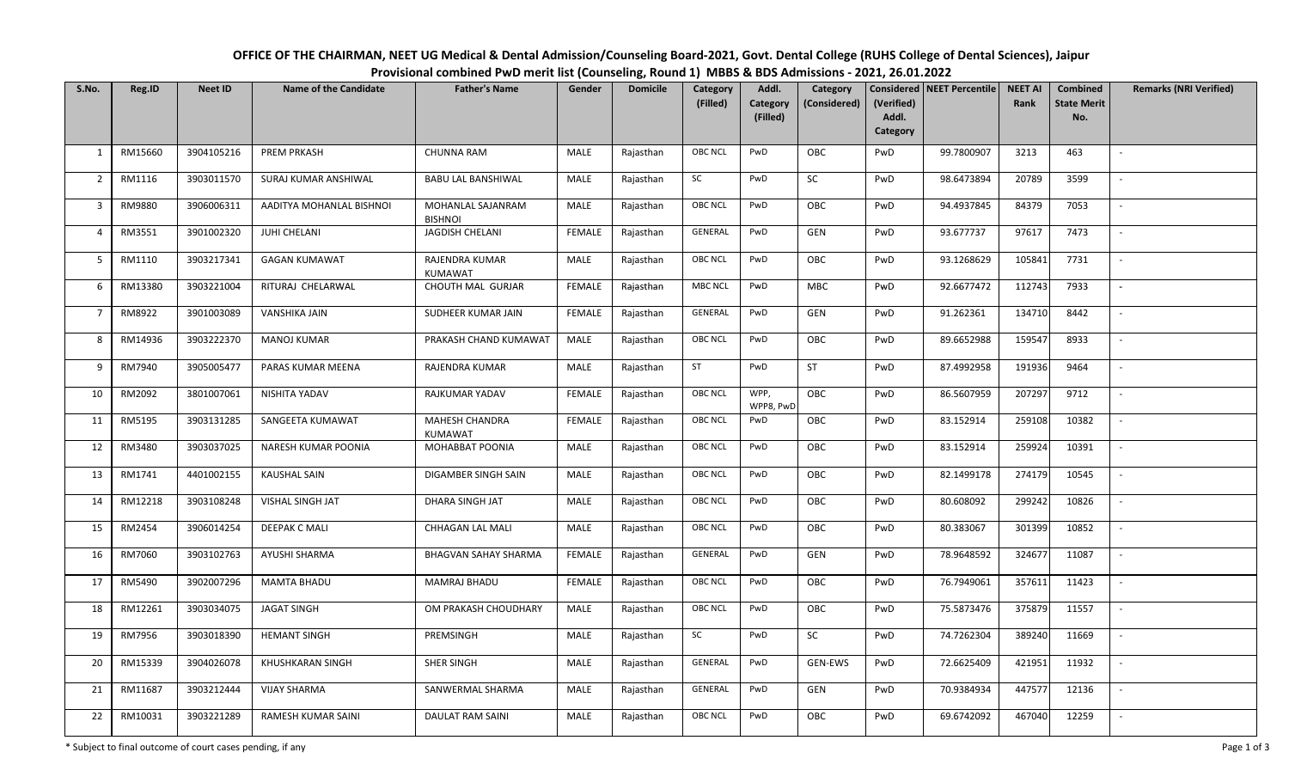| OFFICE OF THE CHAIRMAN, NEET UG Medical & Dental Admission/Counseling Board-2021, Govt. Dental College (RUHS College of Dental Sciences), Jaipur |  |
|--------------------------------------------------------------------------------------------------------------------------------------------------|--|
| Provisional combined PwD merit list (Counseling, Round 1) MBBS & BDS Admissions - 2021, 26.01.2022                                               |  |

|                | OFFICE OF THE CHAIRMAN, NEET UG Medical & Dental Admission/Counseling Board-2021, Govt. Dental College (RUHS College of Dental Sciences), Jaipur<br>Provisional combined PwD merit list (Counseling, Round 1) MBBS & BDS Admissions - 2021, 26.01.2022 |                |                              |                                     |             |                 |                      |                               |                          |                                 |                              |                        |                                              |                               |
|----------------|--------------------------------------------------------------------------------------------------------------------------------------------------------------------------------------------------------------------------------------------------------|----------------|------------------------------|-------------------------------------|-------------|-----------------|----------------------|-------------------------------|--------------------------|---------------------------------|------------------------------|------------------------|----------------------------------------------|-------------------------------|
| S.No.          | Reg.ID                                                                                                                                                                                                                                                 | <b>Neet ID</b> | <b>Name of the Candidate</b> | <b>Father's Name</b>                | Gender      | <b>Domicile</b> | Category<br>(Filled) | Addl.<br>Category<br>(Filled) | Category<br>(Considered) | (Verified)<br>Addl.<br>Category | Considered   NEET Percentile | <b>NEET AI</b><br>Rank | <b>Combined</b><br><b>State Merit</b><br>No. | <b>Remarks (NRI Verified)</b> |
| 1              | RM15660                                                                                                                                                                                                                                                | 3904105216     | PREM PRKASH                  | <b>CHUNNA RAM</b>                   | MALE        | Rajasthan       | OBC NCL              | PwD                           | OBC                      | PwD                             | 99.7800907                   | 3213                   | 463                                          |                               |
| $\overline{2}$ | RM1116                                                                                                                                                                                                                                                 | 3903011570     | SURAJ KUMAR ANSHIWAL         | <b>BABU LAL BANSHIWAL</b>           | MALE        | Rajasthan       | SC                   | PwD                           | SC                       | PwD                             | 98.6473894                   | 20789                  | 3599                                         |                               |
| 3              | RM9880                                                                                                                                                                                                                                                 | 3906006311     | AADITYA MOHANLAL BISHNOI     | MOHANLAL SAJANRAM<br><b>BISHNOI</b> | MALE        | Rajasthan       | <b>OBC NCL</b>       | PwD                           | OBC                      | PwD                             | 94.4937845                   | 84379                  | 7053                                         |                               |
| $\overline{4}$ | RM3551                                                                                                                                                                                                                                                 | 3901002320     | JUHI CHELANI                 | JAGDISH CHELANI                     | FEMALE      | Rajasthan       | GENERAL              | PwD                           | GEN                      | PwD                             | 93.677737                    | 97617                  | 7473                                         |                               |
| 5              | RM1110                                                                                                                                                                                                                                                 | 3903217341     | <b>GAGAN KUMAWAT</b>         | RAJENDRA KUMAR<br>KUMAWAT           | MALE        | Rajasthan       | <b>OBC NCL</b>       | PwD                           | OBC                      | PwD                             | 93.1268629                   | 105841                 | 7731                                         |                               |
| 6              | RM13380                                                                                                                                                                                                                                                | 3903221004     | RITURAJ CHELARWAL            | CHOUTH MAL GURJAR                   | FEMALE      | Rajasthan       | <b>MBC NCL</b>       | PwD                           | MBC                      | PwD                             | 92.6677472                   | 112743                 | 7933                                         |                               |
| 7              | RM8922                                                                                                                                                                                                                                                 | 3901003089     | VANSHIKA JAIN                | SUDHEER KUMAR JAIN                  | FEMALE      | Rajasthan       | GENERAL              | PwD                           | <b>GEN</b>               | PwD                             | 91.262361                    | 134710                 | 8442                                         |                               |
| 8              | RM14936                                                                                                                                                                                                                                                | 3903222370     | <b>MANOJ KUMAR</b>           | PRAKASH CHAND KUMAWAT               | MALE        | Rajasthan       | <b>OBC NCL</b>       | PwD                           | OBC                      | PwD                             | 89.6652988                   | 159547                 | 8933                                         |                               |
| 9              | RM7940                                                                                                                                                                                                                                                 | 3905005477     | PARAS KUMAR MEENA            | RAJENDRA KUMAR                      | MALE        | Rajasthan       | ST                   | PwD                           | ST                       | PwD                             | 87.4992958                   | 191936                 | 9464                                         |                               |
| 10             | RM2092                                                                                                                                                                                                                                                 | 3801007061     | NISHITA YADAV                | RAJKUMAR YADAV                      | FEMALE      | Rajasthan       | <b>OBC NCL</b>       | WPP,<br>WPP8, PwD             | OBC                      | PwD                             | 86.5607959                   | 207297                 | 9712                                         |                               |
| 11             | RM5195                                                                                                                                                                                                                                                 | 3903131285     | SANGEETA KUMAWAT             | MAHESH CHANDRA<br>KUMAWAT           | FEMALE      | Rajasthan       | <b>OBC NCL</b>       | PwD                           | OBC                      | PwD                             | 83.152914                    | 259108                 | 10382                                        |                               |
| 12             | RM3480                                                                                                                                                                                                                                                 | 3903037025     | NARESH KUMAR POONIA          | MOHABBAT POONIA                     | MALE        | Rajasthan       | <b>OBC NCL</b>       | PwD                           | OBC                      | PwD                             | 83.152914                    | 259924                 | 10391                                        |                               |
| 13             | RM1741                                                                                                                                                                                                                                                 | 4401002155     | <b>KAUSHAL SAIN</b>          | DIGAMBER SINGH SAIN                 | MALE        | Rajasthan       | <b>OBC NCL</b>       | PwD                           | OBC                      | PwD                             | 82.1499178                   | 274179                 | 10545                                        |                               |
| 14             | RM12218                                                                                                                                                                                                                                                | 3903108248     | VISHAL SINGH JAT             | DHARA SINGH JAT                     | MALE        | Rajasthan       | <b>OBC NCL</b>       | PwD                           | OBC                      | PwD                             | 80.608092                    | 299242                 | 10826                                        |                               |
| 15             | RM2454                                                                                                                                                                                                                                                 | 3906014254     | DEEPAK C MALI                | CHHAGAN LAL MALI                    | MALE        | Rajasthan       | <b>OBC NCL</b>       | PwD                           | OBC                      | PwD                             | 80.383067                    | 301399                 | 10852                                        |                               |
| 16             | RM7060                                                                                                                                                                                                                                                 | 3903102763     | AYUSHI SHARMA                | <b>BHAGVAN SAHAY SHARMA</b>         | FEMALE      | Rajasthan       | GENERAL              | PwD                           | GEN                      | PwD                             | 78.9648592                   | 324677                 | 11087                                        |                               |
| 17             | RM5490                                                                                                                                                                                                                                                 | 3902007296     | <b>MAMTA BHADU</b>           | MAMRAJ BHADU                        | FEMALE      | Rajasthan       | <b>OBC NCL</b>       | PwD                           | OBC                      | PwD                             | 76.7949061                   | 357611                 | 11423                                        |                               |
| 18             | RM12261                                                                                                                                                                                                                                                | 3903034075     | <b>JAGAT SINGH</b>           | OM PRAKASH CHOUDHARY                | MALE        | Rajasthan       | <b>OBC NCL</b>       | PwD                           | OBC                      | PwD                             | 75.5873476                   | 375879                 | 11557                                        |                               |
| 19             | <b>RM7956</b>                                                                                                                                                                                                                                          | 3903018390     | <b>HEMANT SINGH</b>          | PREMSINGH                           | <b>MALE</b> | Rajasthan       | SC                   | PwD                           | SC                       | PwD                             | 74.7262304                   | 389240                 | 11669                                        | $\overline{\phantom{a}}$      |
| 20             | RM15339                                                                                                                                                                                                                                                | 3904026078     | KHUSHKARAN SINGH             | SHER SINGH                          | MALE        | Rajasthan       | GENERAL              | PwD                           | <b>GEN-EWS</b>           | PwD                             | 72.6625409                   | 421951                 | 11932                                        | $\overline{\phantom{a}}$      |
| 21             | RM11687                                                                                                                                                                                                                                                | 3903212444     | <b>VIJAY SHARMA</b>          | SANWERMAL SHARMA                    | MALE        | Rajasthan       | GENERAL              | PwD                           | GEN                      | PwD                             | 70.9384934                   | 447577                 | 12136                                        | $\sim$                        |
| 22             | RM10031                                                                                                                                                                                                                                                | 3903221289     | RAMESH KUMAR SAINI           | DAULAT RAM SAINI                    | MALE        | Rajasthan       | <b>OBC NCL</b>       | PwD                           | OBC                      | PwD                             | 69.6742092                   | 467040                 | 12259                                        | $\overline{\phantom{a}}$      |

\* Subject to final outcome of court cases pending, if any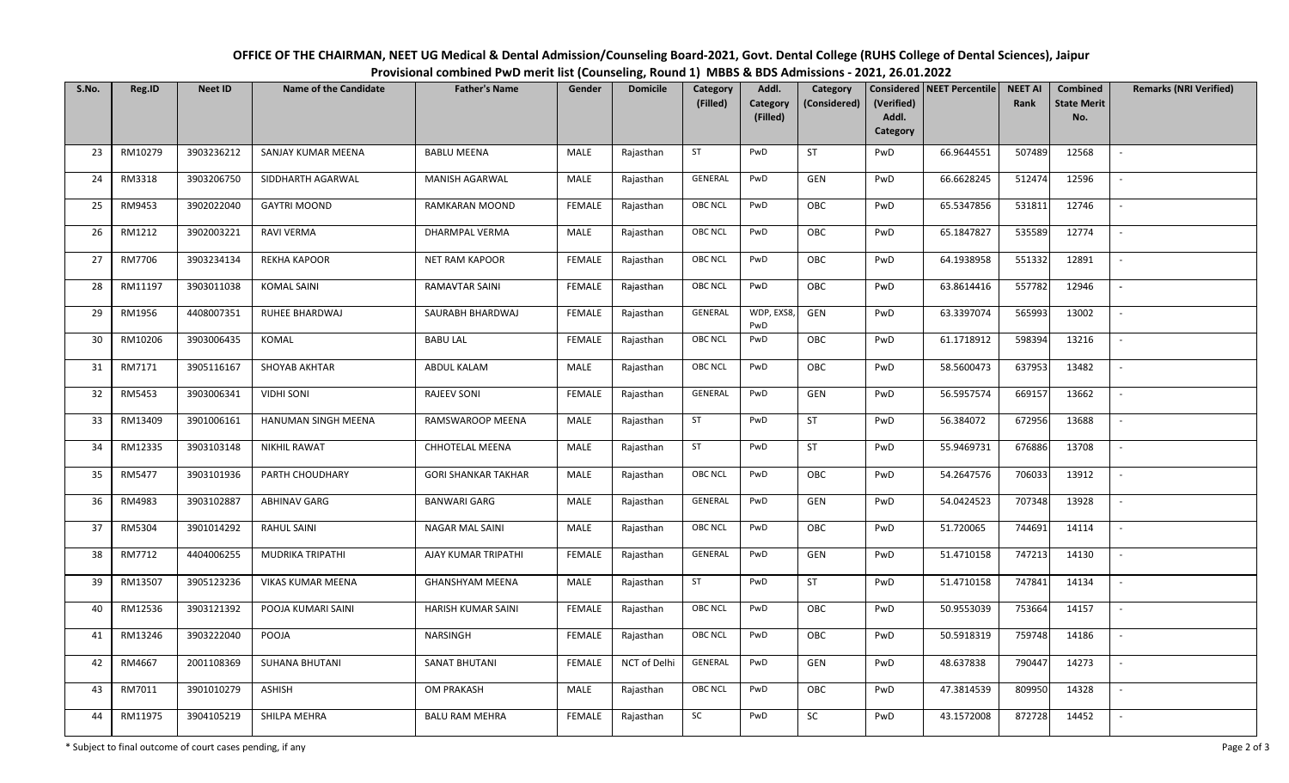| OFFICE OF THE CHAIRMAN, NEET UG Medical & Dental Admission/Counseling Board-2021, Govt. Dental College (RUHS College of Dental Sciences), Jaipur |  |  |  |  |  |  |  |  |  |  |  |  |
|--------------------------------------------------------------------------------------------------------------------------------------------------|--|--|--|--|--|--|--|--|--|--|--|--|
| Provisional combined PwD merit list (Counseling, Round 1) MBBS & BDS Admissions - 2021, 26.01.2022                                               |  |  |  |  |  |  |  |  |  |  |  |  |
|                                                                                                                                                  |  |  |  |  |  |  |  |  |  |  |  |  |

| S.No. | Reg.ID  | <b>Neet ID</b> | <b>Name of the Candidate</b> | <b>Father's Name</b>       | Gender        | <b>Domicile</b> | Category<br>(Filled) | Addl.<br>Category | Category<br>(Considered) | (Verified)        | Considered   NEET Percentile | <b>NEET AI</b><br>Rank | <b>Combined</b><br><b>State Merit</b> | <b>Remarks (NRI Verified)</b> |
|-------|---------|----------------|------------------------------|----------------------------|---------------|-----------------|----------------------|-------------------|--------------------------|-------------------|------------------------------|------------------------|---------------------------------------|-------------------------------|
|       |         |                |                              |                            |               |                 |                      | (Filled)          |                          | Addl.<br>Category |                              |                        | No.                                   |                               |
| 23    | RM10279 | 3903236212     | SANJAY KUMAR MEENA           | <b>BABLU MEENA</b>         | MALE          | Rajasthan       | ST                   | PwD               | ST                       | PwD               | 66.9644551                   | 507489                 | 12568                                 |                               |
| 24    | RM3318  | 3903206750     | SIDDHARTH AGARWAL            | MANISH AGARWAL             | MALE          | Rajasthan       | GENERAL              | PwD               | GEN                      | PwD               | 66.6628245                   | 512474                 | 12596                                 | $\sim$                        |
| 25    | RM9453  | 3902022040     | <b>GAYTRI MOOND</b>          | RAMKARAN MOOND             | FEMALE        | Rajasthan       | <b>OBC NCL</b>       | PwD               | OBC                      | PwD               | 65.5347856                   | 531811                 | 12746                                 | $\sim$                        |
| 26    | RM1212  | 3902003221     | RAVI VERMA                   | DHARMPAL VERMA             | MALE          | Rajasthan       | <b>OBC NCL</b>       | PwD               | OBC                      | PwD               | 65.1847827                   | 535589                 | 12774                                 | $\sim$                        |
| 27    | RM7706  | 3903234134     | <b>REKHA KAPOOR</b>          | <b>NET RAM KAPOOR</b>      | FEMALE        | Rajasthan       | <b>OBC NCL</b>       | PwD               | OBC                      | PwD               | 64.1938958                   | 551332                 | 12891                                 | $\sim$                        |
| 28    | RM11197 | 3903011038     | <b>KOMAL SAINI</b>           | RAMAVTAR SAINI             | FEMALE        | Rajasthan       | OBC NCL              | PwD               | OBC                      | PwD               | 63.8614416                   | 557782                 | 12946                                 | $\sim$                        |
| 29    | RM1956  | 4408007351     | RUHEE BHARDWAJ               | SAURABH BHARDWAJ           | FEMALE        | Rajasthan       | GENERAL              | WDP, EXS8,<br>PwD | <b>GEN</b>               | PwD               | 63.3397074                   | 565993                 | 13002                                 |                               |
| 30    | RM10206 | 3903006435     | KOMAL                        | <b>BABU LAL</b>            | FEMALE        | Rajasthan       | <b>OBC NCL</b>       | PwD               | OBC                      | PwD               | 61.1718912                   | 598394                 | 13216                                 |                               |
| 31    | RM7171  | 3905116167     | SHOYAB AKHTAR                | ABDUL KALAM                | MALE          | Rajasthan       | <b>OBC NCL</b>       | PwD               | OBC                      | PwD               | 58.5600473                   | 637953                 | 13482                                 |                               |
| 32    | RM5453  | 3903006341     | <b>VIDHI SONI</b>            | <b>RAJEEV SONI</b>         | FEMALE        | Rajasthan       | GENERAL              | PwD               | <b>GEN</b>               | PwD               | 56.5957574                   | 669157                 | 13662                                 | $\overline{\phantom{a}}$      |
| 33    | RM13409 | 3901006161     | HANUMAN SINGH MEENA          | RAMSWAROOP MEENA           | MALE          | Rajasthan       | ST                   | PwD               | ST                       | PwD               | 56.384072                    | 672956                 | 13688                                 |                               |
| 34    | RM12335 | 3903103148     | NIKHIL RAWAT                 | CHHOTELAL MEENA            | MALE          | Rajasthan       | ST                   | PwD               | ST                       | PwD               | 55.9469731                   | 676886                 | 13708                                 | $\sim$                        |
| 35    | RM5477  | 3903101936     | PARTH CHOUDHARY              | <b>GORI SHANKAR TAKHAR</b> | MALE          | Rajasthan       | <b>OBC NCL</b>       | PwD               | OBC                      | PwD               | 54.2647576                   | 706033                 | 13912                                 |                               |
| 36    | RM4983  | 3903102887     | ABHINAV GARG                 | <b>BANWARI GARG</b>        | MALE          | Rajasthan       | GENERAL              | PwD               | <b>GEN</b>               | PwD               | 54.0424523                   | 707348                 | 13928                                 | $\overline{\phantom{a}}$      |
| 37    | RM5304  | 3901014292     | <b>RAHUL SAINI</b>           | <b>NAGAR MAL SAINI</b>     | MALE          | Rajasthan       | <b>OBC NCL</b>       | PwD               | OBC                      | PwD               | 51.720065                    | 744691                 | 14114                                 | $\mathbb{L}$                  |
| 38    | RM7712  | 4404006255     | MUDRIKA TRIPATHI             | AJAY KUMAR TRIPATHI        | FEMALE        | Rajasthan       | GENERAL              | PwD               | GEN                      | PwD               | 51.4710158                   | 747213                 | 14130                                 |                               |
| 39    | RM13507 | 3905123236     | VIKAS KUMAR MEENA            | <b>GHANSHYAM MEENA</b>     | <b>MALE</b>   | Rajasthan       | ST                   | PwD               | ST                       | PwD               | 51.4710158                   | 747841                 | 14134                                 | $\mathbb{L}$                  |
| 40    | RM12536 | 3903121392     | POOJA KUMARI SAINI           | HARISH KUMAR SAINI         | <b>FEMALE</b> | Rajasthan       | <b>OBC NCL</b>       | PwD               | OBC                      | PwD               | 50.9553039                   | 753664                 | 14157                                 | $\sim$                        |
| 41    | RM13246 | 3903222040     | POOJA                        | NARSINGH                   | <b>FEMALE</b> | Rajasthan       | <b>OBC NCL</b>       | PwD               | OBC                      | PwD               | 50.5918319                   | 759748                 | 14186                                 | $\sim$                        |
| 42    | RM4667  | 2001108369     | SUHANA BHUTANI               | SANAT BHUTANI              | FEMALE        | NCT of Delhi    | GENERAL              | PwD               | GEN                      | PwD               | 48.637838                    | 790447                 | 14273                                 | $\mathbb{L}$                  |
| 43    | RM7011  | 3901010279     | ASHISH                       | <b>OM PRAKASH</b>          | MALE          | Rajasthan       | <b>OBC NCL</b>       | PwD               | OBC                      | PwD               | 47.3814539                   | 809950                 | 14328                                 | $\sim$                        |
| 44    | RM11975 | 3904105219     | SHILPA MEHRA                 | <b>BALU RAM MEHRA</b>      | <b>FEMALE</b> | Rajasthan       | SC                   | PwD               | SC                       | PwD               | 43.1572008                   | 872728                 | 14452                                 | $\sim$                        |

\* Subject to final outcome of court cases pending, if any